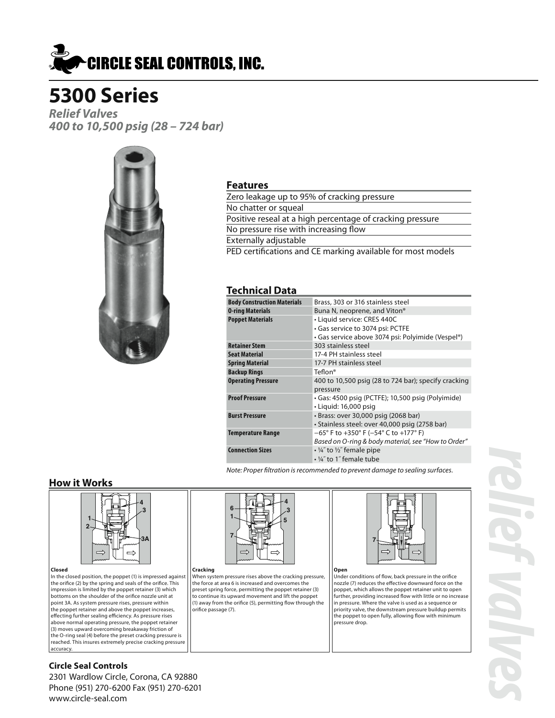

*Relief Valves 400 to 10,500 psig (28 – 724 bar)*



#### **Features**

| Zero leakage up to 95% of cracking pressure                 |
|-------------------------------------------------------------|
| No chatter or squeal                                        |
| Positive reseal at a high percentage of cracking pressure   |
| No pressure rise with increasing flow                       |
| Externally adjustable                                       |
| PED certifications and CE marking available for most models |
|                                                             |

#### **Technical Data**

| <b>Body Construction Materials</b> | Brass, 303 or 316 stainless steel                    |
|------------------------------------|------------------------------------------------------|
| <b>0-ring Materials</b>            | Buna N, neoprene, and Viton®                         |
| <b>Poppet Materials</b>            | • Liquid service: CRES 440C                          |
|                                    | • Gas service to 3074 psi: PCTFE                     |
|                                    | • Gas service above 3074 psi: Polyimide (Vespel®)    |
| <b>Retainer Stem</b>               | 303 stainless steel                                  |
| <b>Seat Material</b>               | 17-4 PH stainless steel                              |
| <b>Spring Material</b>             | 17-7 PH stainless steel                              |
| <b>Backup Rings</b>                | Teflon®                                              |
| <b>Operating Pressure</b>          | 400 to 10,500 psig (28 to 724 bar); specify cracking |
|                                    | pressure                                             |
| <b>Proof Pressure</b>              | · Gas: 4500 psig (PCTFE); 10,500 psig (Polyimide)    |
|                                    | $\cdot$ Liguid: 16,000 psig                          |
| <b>Burst Pressure</b>              | · Brass: over 30,000 psig (2068 bar)                 |
|                                    | · Stainless steel: over 40,000 psig (2758 bar)       |
| <b>Temperature Range</b>           | $-65^{\circ}$ F to +350° F (-54° C to +177° F)       |
|                                    | Based on O-ring & body material, see "How to Order"  |
| <b>Connection Sizes</b>            | $\cdot$ ¼" to ½" female pipe                         |
|                                    | • 1/4" to 1" female tube                             |

*Note: Proper filtration is recommended to prevent damage to sealing surfaces.*

#### **How it Works**



**Closed** In the closed position, the poppet (1) is impressed against the orifice (2) by the spring and seals of the orifice. This impression is limited by the poppet retainer (3) which bottoms on the shoulder of the orifice nozzle unit at point 3A. As system pressure rises, pressure within the poppet retainer and above the poppet increases, effecting further sealing efficiency. As pressure rises above normal operating pressure, the poppet retainer (3) moves upward overcoming breakaway friction of the O-ring seal (4) before the preset cracking pressure is reached. This insures extremely precise cracking pressure accuracy.



**Cracking** When system pressure rises above the cracking pressure, the force at area 6 is increased and overcomes the preset spring force, permitting the poppet retainer (3) to continue its upward movement and lift the poppet (1) away from the orifice (5), permitting flow through the orifice passage (7).



**Open** Under conditions of flow, back pressure in the orifice nozzle (7) reduces the effective downward force on the poppet, which allows the poppet retainer unit to open further, providing increased flow with little or no increase in pressure. Where the valve is used as a sequence or priority valve, the downstream pressure buildup permits the poppet to open fully, allowing flow with minimum pressure drop.

*relief valves* **ONT** 

#### **Circle Seal Controls**

2301 Wardlow Circle, Corona, CA 92880 Phone (951) 270-6200 Fax (951) 270-6201 www.circle-seal.com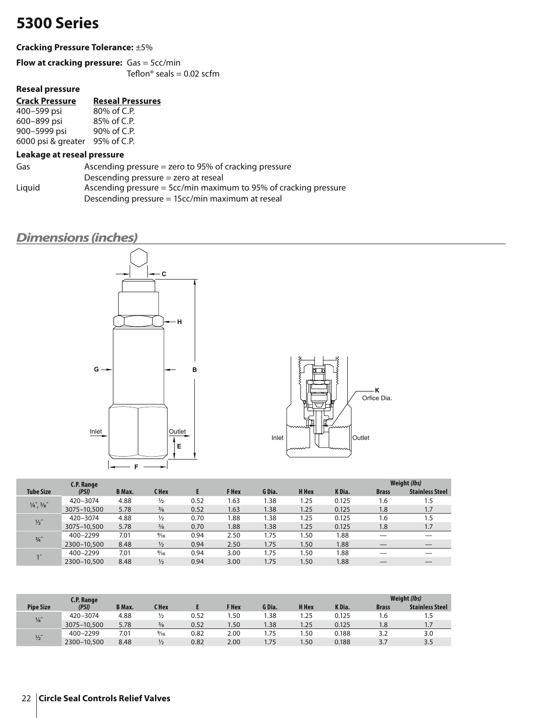#### **Cracking Pressure Tolerance:** ±5%

**Flow at cracking pressure:** Gas = 5cc/min Teflon® seals =  $0.02$  scfm

#### **Reseal pressure**

### **Crack Pressure Reseal Pressures**

| 400–599 psi        | 80% of C.P. |
|--------------------|-------------|
| 600–899 psi        | 85% of C.P. |
| 900–5999 psi       | 90% of C.P. |
| 6000 psi & greater | 95% of C.P. |

#### **Leakage at reseal pressure**

| Gas    | Ascending pressure $=$ zero to 95% of cracking pressure            |
|--------|--------------------------------------------------------------------|
|        | Descending pressure $=$ zero at reseal                             |
| Liguid | Ascending pressure $=$ 5cc/min maximum to 95% of cracking pressure |
|        | Descending pressure = 15cc/min maximum at reseal                   |

### *Dimensions (inches)*





|                               | C.P. Range  |               |                |      |              |        |       |        |              | Weight (lbs)           |
|-------------------------------|-------------|---------------|----------------|------|--------------|--------|-------|--------|--------------|------------------------|
| <b>Tube Size</b>              | (PSI)       | <b>B</b> Max. | <b>CHex</b>    |      | <b>F</b> Hex | G Dia. | H Hex | K Dia. | <b>Brass</b> | <b>Stainless Steel</b> |
|                               | 420-3074    | 4.88          | $\frac{1}{2}$  | 0.52 | 1.63         | 1.38   | 1.25  | 0.125  | 1.6          | 1.5                    |
| $\frac{1}{4}$ , $\frac{3}{8}$ | 3075-10,500 | 5.78          | $\frac{3}{8}$  | 0.52 | 1.63         | 1.38   | 1.25  | 0.125  | 1.8          | 1.7                    |
| $\frac{1}{2}$                 | 420-3074    | 4.88          | $\frac{1}{2}$  | 0.70 | .88          | 1.38   | 1.25  | 0.125  | 1.6          | 1.5                    |
|                               | 3075-10,500 | 5.78          | $\frac{3}{8}$  | 0.70 | 1.88         | 1.38   | 1.25  | 0.125  | 1.8          | 1.7                    |
| $\frac{3}{4}$ "               | 400-2299    | 7.01          | $\frac{9}{16}$ | 0.94 | 2.50         | 1.75   | 1.50  | 1.88   |              |                        |
|                               | 2300-10,500 | 8.48          | $\frac{1}{2}$  | 0.94 | 2.50         | 1.75   | 1.50  | 1.88   |              | $-$                    |
| 1''                           | 400-2299    | 7.01          | $\frac{9}{16}$ | 0.94 | 3.00         | 1.75   | 1.50  | 1.88   |              |                        |
|                               | 2300-10,500 | 8.48          | $\frac{1}{2}$  | 0.94 | 3.00         | 1.75   | 1.50  | 1.88   |              |                        |

|                  | C.P. Range  |               |                |      |       |        |              |        | Weight (lbs) |                          |  |
|------------------|-------------|---------------|----------------|------|-------|--------|--------------|--------|--------------|--------------------------|--|
| <b>Pipe Size</b> | (PSI)       | <b>B</b> Max. | C Hex          |      | F Hex | G Dia. | <b>H</b> Hex | K Dia. | <b>Brass</b> | <b>Stainless Steel</b>   |  |
| $\frac{1}{4}$    | 420-3074    | 4.88          |                | 0.52 | .50   | .38    | 1.25         | 0.125  | ه.ו          |                          |  |
|                  | 3075-10,500 | 5.78          | $\frac{3}{8}$  | 0.52 | 1.50  | .38    | 1.25         | 0.125  | 1.8          | $\overline{\phantom{a}}$ |  |
| $\frac{1}{2}$    | 400-2299    | 7.01          | $\frac{9}{16}$ | 0.82 | 2.00  | 1.75   | .50          | 0.188  |              | 3.0                      |  |
|                  | 2300-10,500 | 8.48          | $\frac{1}{2}$  | 0.82 | 2.00  | 1.75   | .50          | 0.188  | 37           | 3.5                      |  |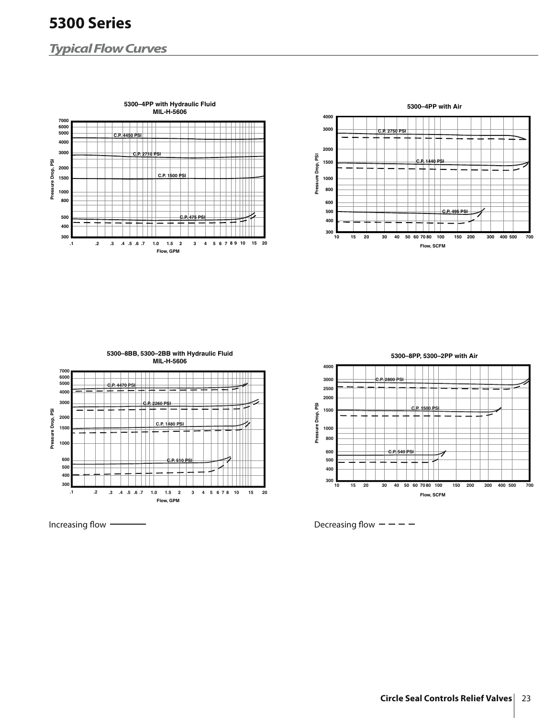### *Typical Flow Curves*





**5300–8BB, 5300–2BB with Hydraulic Fluid MIL-H-5606 7000 6000 5000 C.P. 4470 PSI 4000 3000 C.P. 2260 PSI** Pressure Drop, PSI **Pressure Drop, PSI 2000 C.P. 1480 PSI 1500 1000 600 C.P. 510 PSI 500 400 300 .1 .2 .3 .4 .5 .6 .7 1.0 1.5 2 3 4 5 6 7 8 10 15 20 Flow, GPM**

**5300–8PP, 5300–2PP with Air**